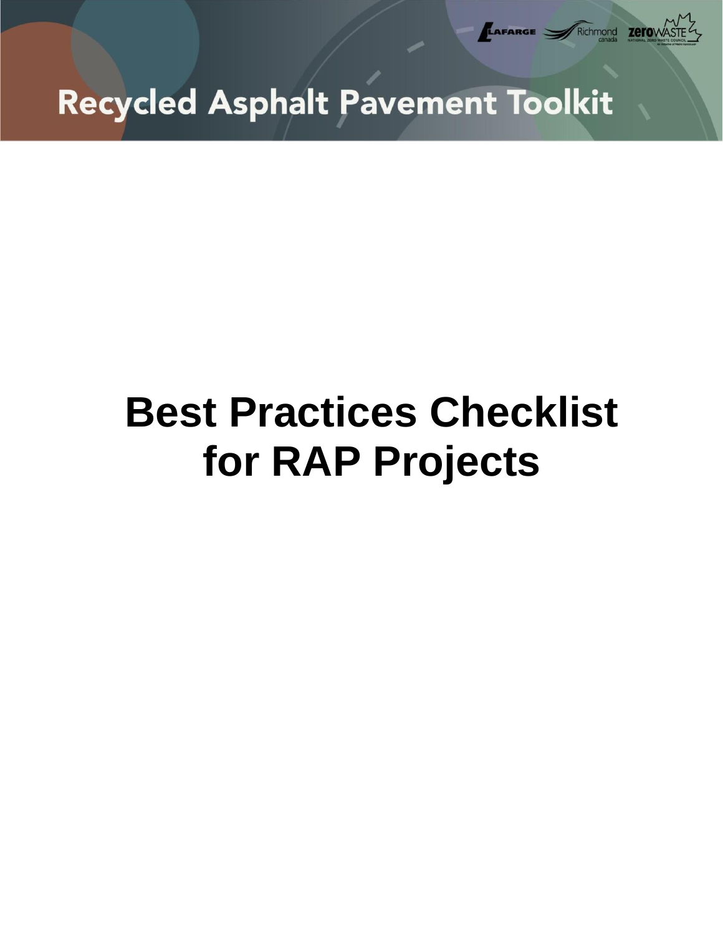

# **Best Practices Checklist for RAP Projects**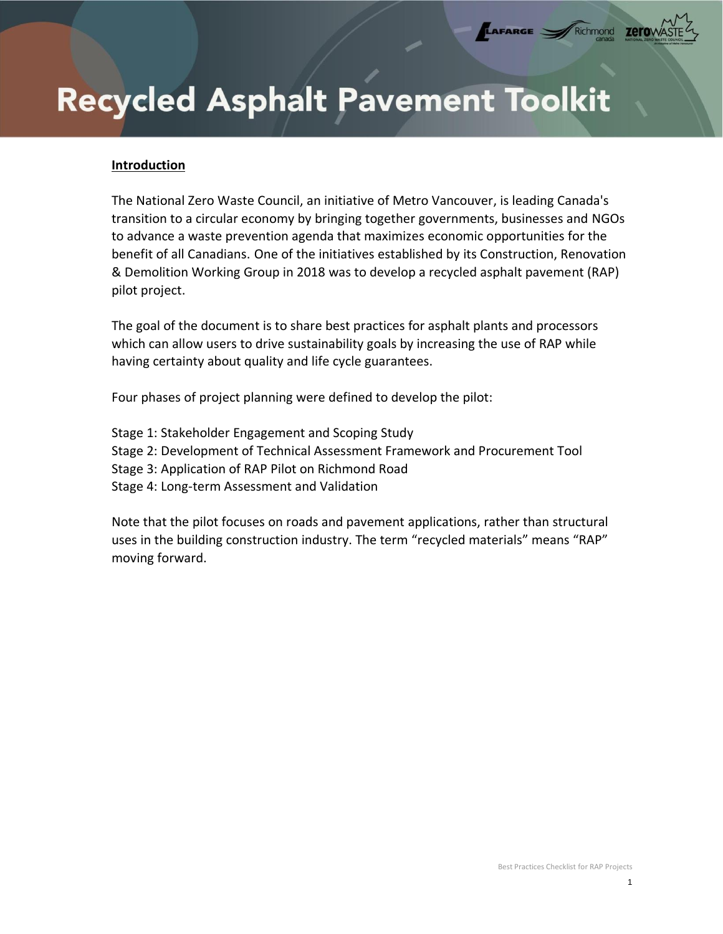#### **Introduction**

The National Zero Waste Council, an initiative of Metro Vancouver, is leading Canada's transition to a circular economy by bringing together governments, businesses and NGOs to advance a waste prevention agenda that maximizes economic opportunities for the benefit of all Canadians. One of the initiatives established by its Construction, Renovation & Demolition Working Group in 2018 was to develop a recycled asphalt pavement (RAP) pilot project.

LAFARGE =

Richmond

zero

The goal of the document is to share best practices for asphalt plants and processors which can allow users to drive sustainability goals by increasing the use of RAP while having certainty about quality and life cycle guarantees.

Four phases of project planning were defined to develop the pilot:

Stage 1: Stakeholder Engagement and Scoping Study Stage 2: Development of Technical Assessment Framework and Procurement Tool Stage 3: Application of RAP Pilot on Richmond Road Stage 4: Long-term Assessment and Validation

Note that the pilot focuses on roads and pavement applications, rather than structural uses in the building construction industry. The term "recycled materials" means "RAP" moving forward.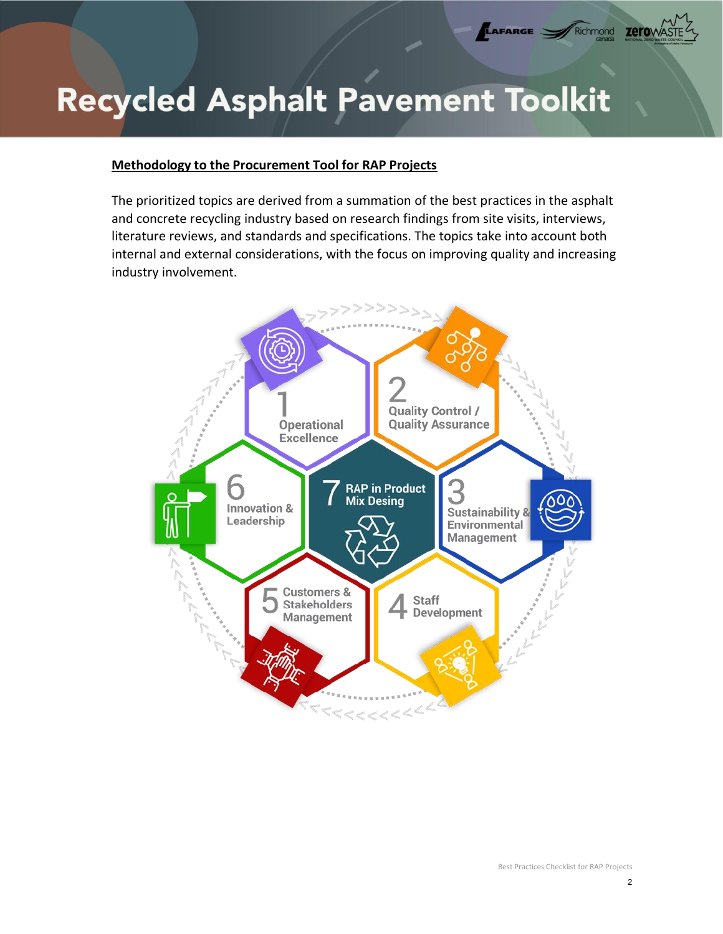#### **Methodology to the Procurement Tool for RAP Projects**

The prioritized topics are derived from a summation of the best practices in the asphalt and concrete recycling industry based on research findings from site visits, interviews, literature reviews, and standards and specifications. The topics take into account both internal and external considerations, with the focus on improving quality and increasing industry involvement.



**LAFARGE** Richmond **Zero**W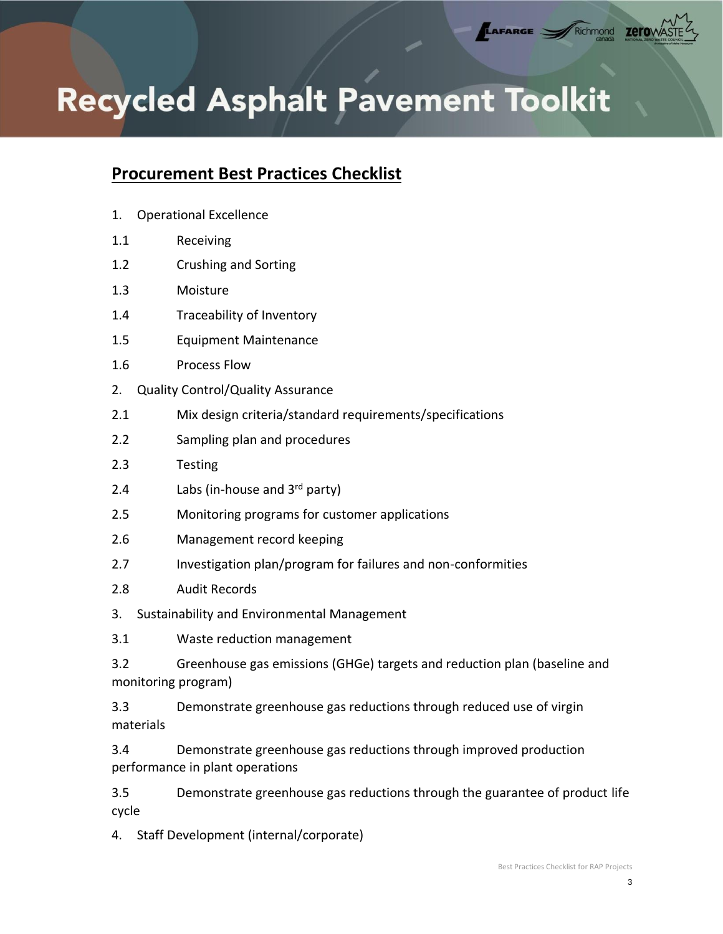AFARGE

zerow

Richmond

## **Procurement Best Practices Checklist**

- 1. Operational Excellence
- [1.1](#page-5-0) [Receiving](#page-5-0)
- [1.2](#page-5-1) [Crushing and Sorting](#page-5-1)
- [1.3](#page-5-2) [Moisture](#page-5-2)
- [1.4](#page-6-0) [Traceability of Inventory](#page-6-0)
- [1.5](#page-6-1) [Equipment Maintenance](#page-6-1)
- [1.6](#page-7-0) [Process Flow](#page-7-0)
- [2.](#page-7-1) [Quality Control/Quality Assurance](#page-7-1)
- [2.1](#page-7-2) [Mix design criteria/standard requirements/specifications](#page-7-2)
- [2.2](#page-8-0) [Sampling plan and procedures](#page-8-0)
- [2.3](#page-8-1) [Testing](#page-8-1)
- [2.4](#page-9-0) Labs (in-house and  $3<sup>rd</sup>$  $3<sup>rd</sup>$  $3<sup>rd</sup>$  [party\)](#page-9-0)
- 2.5 Monitoring programs for customer applications
- [2.6](#page-9-1) [Management record keeping](#page-9-1)
- [2.7](#page-10-0) [Investigation plan/program for failures and non-conformities](#page-10-0)
- [2.8](#page-10-1) [Audit Records](#page-10-1)
- [3.](#page-10-2) [Sustainability and Environmental Management](#page-10-2)
- [3.1](#page-11-0) [Waste reduction management](#page-11-0)
- [3.2](#page-11-1) [Greenhouse gas emissions \(GHGe\) targets and reduction plan \(baseline and](#page-11-1)  [monitoring program\)](#page-11-1)
- [3.3](#page-11-2) [Demonstrate greenhouse gas reductions through reduced use of virgin](#page-11-2)  [materials](#page-11-2)
- [3.4](#page-12-0) [Demonstrate greenhouse gas reductions through improved production](#page-12-0)  [performance in plant operations](#page-12-0)
- 3.5 Demonstrate greenhouse gas reductions through the guarantee of product life cycle
- [4.](#page-12-1) [Staff Development \(internal/corporate\)](#page-12-1)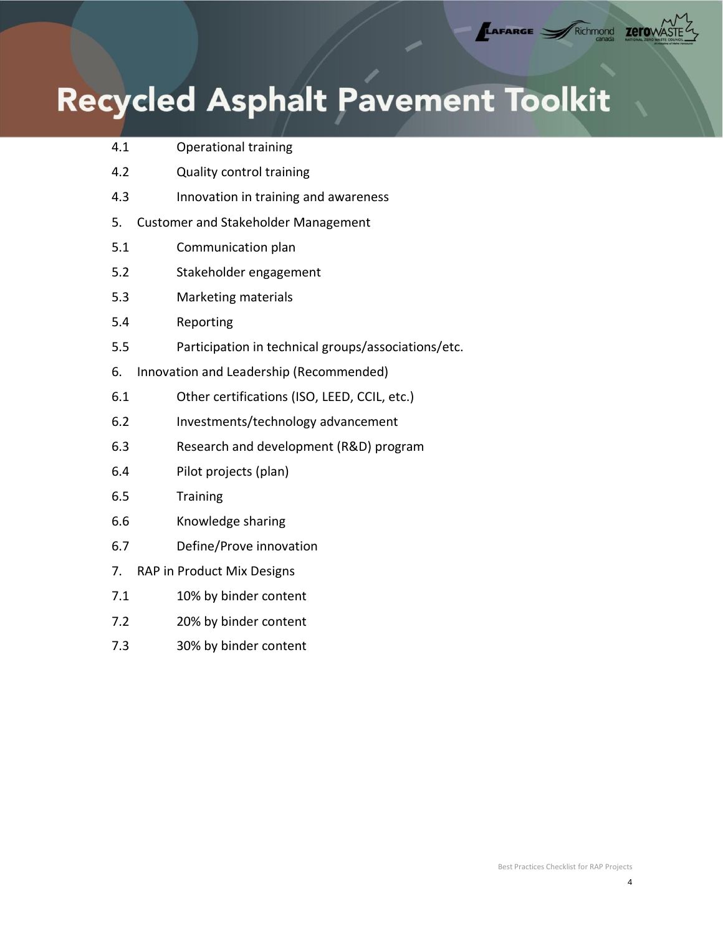| 4.1 | <b>Operational training</b>                         |
|-----|-----------------------------------------------------|
| 4.2 | Quality control training                            |
| 4.3 | Innovation in training and awareness                |
| 5.  | <b>Customer and Stakeholder Management</b>          |
| 5.1 | Communication plan                                  |
| 5.2 | Stakeholder engagement                              |
| 5.3 | <b>Marketing materials</b>                          |
| 5.4 | Reporting                                           |
| 5.5 | Participation in technical groups/associations/etc. |
| 6.  | Innovation and Leadership (Recommended)             |
| 6.1 | Other certifications (ISO, LEED, CCIL, etc.)        |
| 6.2 | Investments/technology advancement                  |
| 6.3 | Research and development (R&D) program              |
| 6.4 | Pilot projects (plan)                               |
| 6.5 | <b>Training</b>                                     |
| 6.6 | Knowledge sharing                                   |
| 6.7 | Define/Prove innovation                             |
| 7.  | RAP in Product Mix Designs                          |
| 7.1 | 10% by binder content                               |
| 7.2 | 20% by binder content                               |
|     |                                                     |

[7.3](#page-18-2) [30% by binder content](#page-18-2)

TAFARGE VARIATION TETOWAST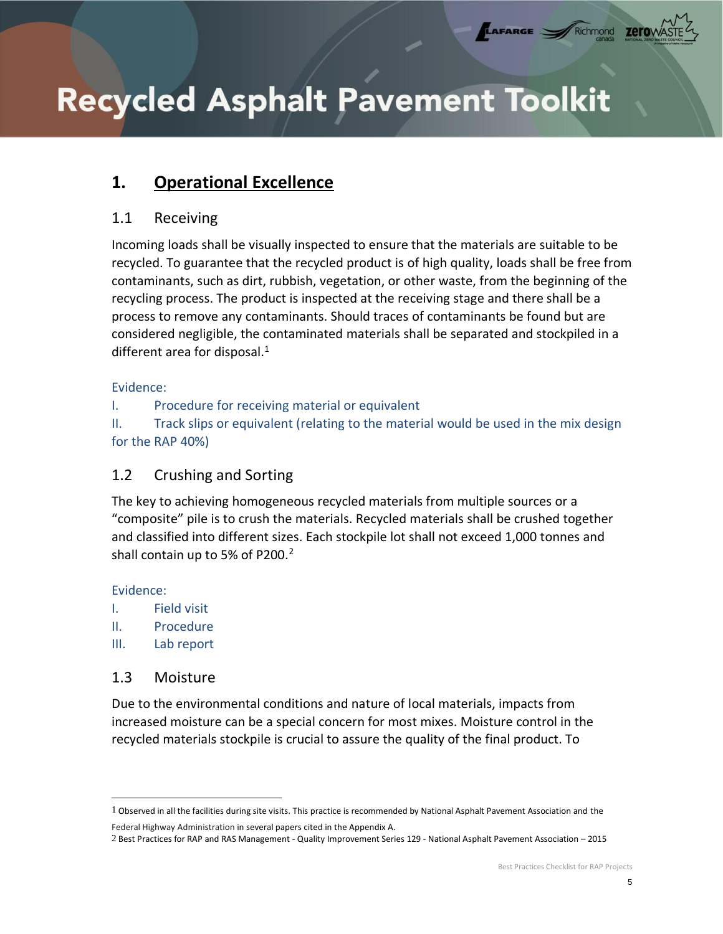LAFARGE

Richmond

zero

## <span id="page-5-0"></span>**1. Operational Excellence**

## 1.1 Receiving

Incoming loads shall be visually inspected to ensure that the materials are suitable to be recycled. To guarantee that the recycled product is of high quality, loads shall be free from contaminants, such as dirt, rubbish, vegetation, or other waste, from the beginning of the recycling process. The product is inspected at the receiving stage and there shall be a process to remove any contaminants. Should traces of contaminants be found but are considered negligible, the contaminated materials shall be separated and stockpiled in a different area for disposal.<sup>1</sup>

#### Evidence:

I. Procedure for receiving material or equivalent

<span id="page-5-1"></span>II. Track slips or equivalent (relating to the material would be used in the mix design for the RAP 40%)

## 1.2 Crushing and Sorting

The key to achieving homogeneous recycled materials from multiple sources or a "composite" pile is to crush the materials. Recycled materials shall be crushed together and classified into different sizes. Each stockpile lot shall not exceed 1,000 tonnes and shall contain up to 5% of P200.<sup>2</sup>

#### Evidence:

- I. Field visit
- II. Procedure
- <span id="page-5-2"></span>III. Lab report

### 1.3 Moisture

Due to the environmental conditions and nature of local materials, impacts from increased moisture can be a special concern for most mixes. Moisture control in the recycled materials stockpile is crucial to assure the quality of the final product. To

<sup>1</sup> Observed in all the facilities during site visits. This practice is recommended by National Asphalt Pavement Association and the

Federal Highway Administration in several papers cited in the Appendix A.

<sup>2</sup> Best Practices for RAP and RAS Management - Quality Improvement Series 129 - National Asphalt Pavement Association – 2015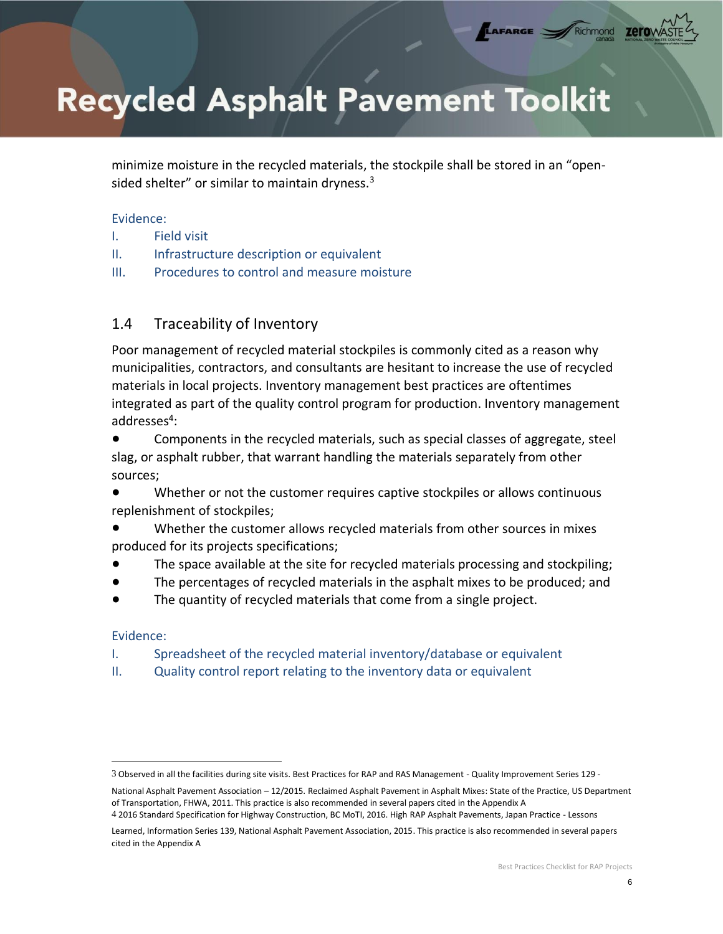minimize moisture in the recycled materials, the stockpile shall be stored in an "opensided shelter" or similar to maintain dryness.<sup>3</sup>

LAFARGE

#### Evidence:

- I. Field visit
- II. Infrastructure description or equivalent
- <span id="page-6-0"></span>III. Procedures to control and measure moisture

## 1.4 Traceability of Inventory

Poor management of recycled material stockpiles is commonly cited as a reason why municipalities, contractors, and consultants are hesitant to increase the use of recycled materials in local projects. Inventory management best practices are oftentimes integrated as part of the quality control program for production. Inventory management addresses<sup>4</sup>:

Components in the recycled materials, such as special classes of aggregate, steel slag, or asphalt rubber, that warrant handling the materials separately from other sources;

- Whether or not the customer requires captive stockpiles or allows continuous replenishment of stockpiles;
- Whether the customer allows recycled materials from other sources in mixes produced for its projects specifications;
- The space available at the site for recycled materials processing and stockpiling;
- The percentages of recycled materials in the asphalt mixes to be produced; and
- The quantity of recycled materials that come from a single project.

#### Evidence:

- I. Spreadsheet of the recycled material inventory/database or equivalent
- <span id="page-6-1"></span>II. Quality control report relating to the inventory data or equivalent

<sup>3</sup> Observed in all the facilities during site visits. Best Practices for RAP and RAS Management - Quality Improvement Series 129 -

National Asphalt Pavement Association – 12/2015. Reclaimed Asphalt Pavement in Asphalt Mixes: State of the Practice, US Department of Transportation, FHWA, 2011. This practice is also recommended in several papers cited in the Appendix A

<sup>4</sup> 2016 Standard Specification for Highway Construction, BC MoTI, 2016. High RAP Asphalt Pavements, Japan Practice - Lessons

Learned, Information Series 139, National Asphalt Pavement Association, 2015. This practice is also recommended in several papers cited in the Appendix A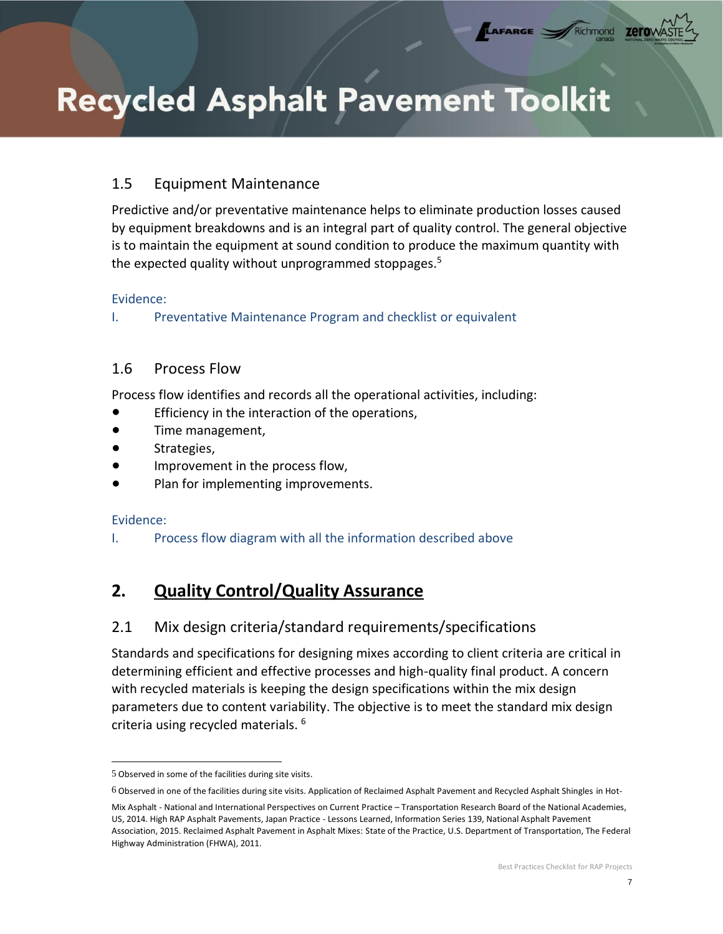## 1.5 Equipment Maintenance

Predictive and/or preventative maintenance helps to eliminate production losses caused by equipment breakdowns and is an integral part of quality control. The general objective is to maintain the equipment at sound condition to produce the maximum quantity with the expected quality without unprogrammed stoppages.<sup>5</sup>

LAFARGE

#### Evidence:

<span id="page-7-0"></span>I. Preventative Maintenance Program and checklist or equivalent

### 1.6 Process Flow

Process flow identifies and records all the operational activities, including:

- Efficiency in the interaction of the operations,
- Time management,
- Strategies,
- Improvement in the process flow,
- Plan for implementing improvements.

### Evidence:

<span id="page-7-1"></span>I. Process flow diagram with all the information described above

## **2. Quality Control/Quality Assurance**

## <span id="page-7-2"></span>2.1 Mix design criteria/standard requirements/specifications

Standards and specifications for designing mixes according to client criteria are critical in determining efficient and effective processes and high-quality final product. A concern with recycled materials is keeping the design specifications within the mix design parameters due to content variability. The objective is to meet the standard mix design criteria using recycled materials. <sup>6</sup>

<sup>5</sup> Observed in some of the facilities during site visits.

<sup>6</sup> Observed in one of the facilities during site visits. Application of Reclaimed Asphalt Pavement and Recycled Asphalt Shingles in Hot-

Mix Asphalt - National and International Perspectives on Current Practice – Transportation Research Board of the National Academies, US, 2014. High RAP Asphalt Pavements, Japan Practice - Lessons Learned, Information Series 139, National Asphalt Pavement Association, 2015. Reclaimed Asphalt Pavement in Asphalt Mixes: State of the Practice, U.S. Department of Transportation, The Federal Highway Administration (FHWA), 2011.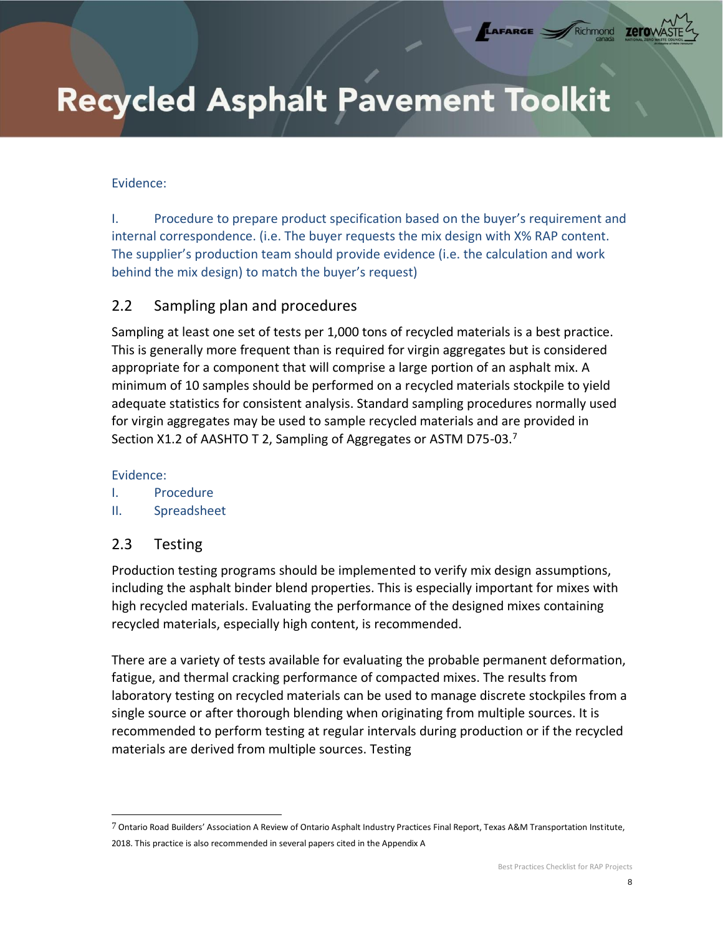#### <span id="page-8-0"></span>Evidence:

I. Procedure to prepare product specification based on the buyer's requirement and internal correspondence. (i.e. The buyer requests the mix design with X% RAP content. The supplier's production team should provide evidence (i.e. the calculation and work behind the mix design) to match the buyer's request)

LAFARGE =

### 2.2 Sampling plan and procedures

Sampling at least one set of tests per 1,000 tons of recycled materials is a best practice. This is generally more frequent than is required for virgin aggregates but is considered appropriate for a component that will comprise a large portion of an asphalt mix. A minimum of 10 samples should be performed on a recycled materials stockpile to yield adequate statistics for consistent analysis. Standard sampling procedures normally used for virgin aggregates may be used to sample recycled materials and are provided in Section X1.2 of AASHTO T 2, Sampling of Aggregates or ASTM D75-03.<sup>7</sup>

#### Evidence:

- I. Procedure
- <span id="page-8-1"></span>II. Spreadsheet

### 2.3 Testing

Production testing programs should be implemented to verify mix design assumptions, including the asphalt binder blend properties. This is especially important for mixes with high recycled materials. Evaluating the performance of the designed mixes containing recycled materials, especially high content, is recommended.

There are a variety of tests available for evaluating the probable permanent deformation, fatigue, and thermal cracking performance of compacted mixes. The results from laboratory testing on recycled materials can be used to manage discrete stockpiles from a single source or after thorough blending when originating from multiple sources. It is recommended to perform testing at regular intervals during production or if the recycled materials are derived from multiple sources. Testing

<sup>7</sup> Ontario Road Builders' Association A Review of Ontario Asphalt Industry Practices Final Report, Texas A&M Transportation Institute, 2018. This practice is also recommended in several papers cited in the Appendix A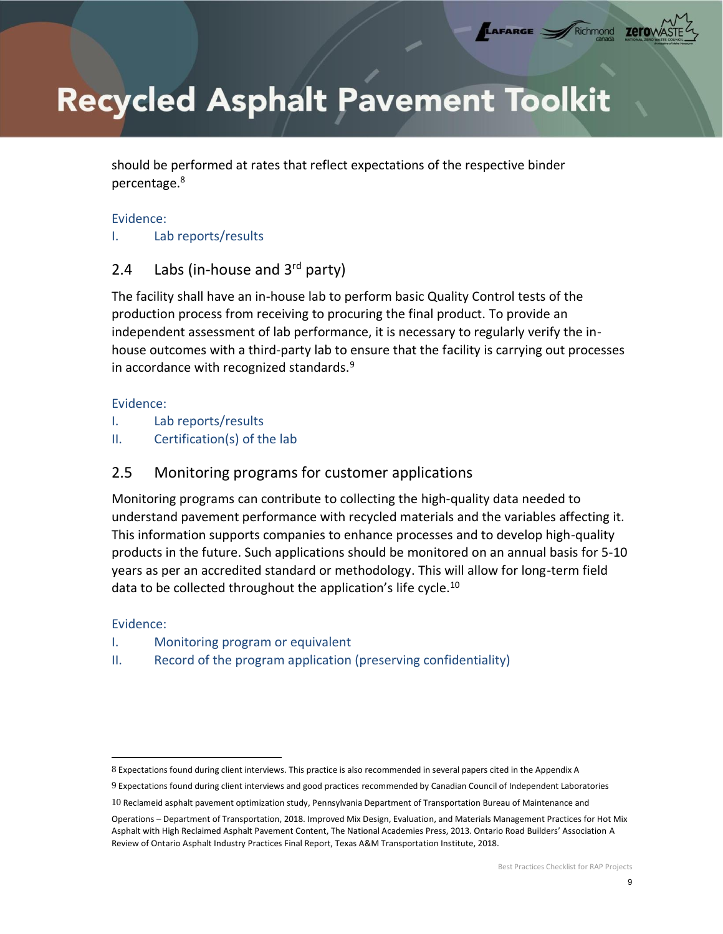LAFARGE

should be performed at rates that reflect expectations of the respective binder percentage.<sup>8</sup>

#### Evidence:

<span id="page-9-0"></span>I. Lab reports/results

## 2.4 Labs (in-house and  $3<sup>rd</sup>$  party)

The facility shall have an in-house lab to perform basic Quality Control tests of the production process from receiving to procuring the final product. To provide an independent assessment of lab performance, it is necessary to regularly verify the inhouse outcomes with a third-party lab to ensure that the facility is carrying out processes in accordance with recognized standards. $9$ 

#### Evidence:

- I. Lab reports/results
- II. Certification(s) of the lab

## 2.5 Monitoring programs for customer applications

Monitoring programs can contribute to collecting the high-quality data needed to understand pavement performance with recycled materials and the variables affecting it. This information supports companies to enhance processes and to develop high-quality products in the future. Such applications should be monitored on an annual basis for 5-10 years as per an accredited standard or methodology. This will allow for long-term field data to be collected throughout the application's life cycle.<sup>10</sup>

#### Evidence:

- I. Monitoring program or equivalent
- <span id="page-9-1"></span>II. Record of the program application (preserving confidentiality)

<sup>8</sup> Expectations found during client interviews. This practice is also recommended in several papers cited in the Appendix A

<sup>9</sup> Expectations found during client interviews and good practices recommended by Canadian Council of Independent Laboratories

<sup>10</sup> Reclameid asphalt pavement optimization study, Pennsylvania Department of Transportation Bureau of Maintenance and

Operations – Department of Transportation, 2018. Improved Mix Design, Evaluation, and Materials Management Practices for Hot Mix Asphalt with High Reclaimed Asphalt Pavement Content, The National Academies Press, 2013. Ontario Road Builders' Association A Review of Ontario Asphalt Industry Practices Final Report, Texas A&M Transportation Institute, 2018.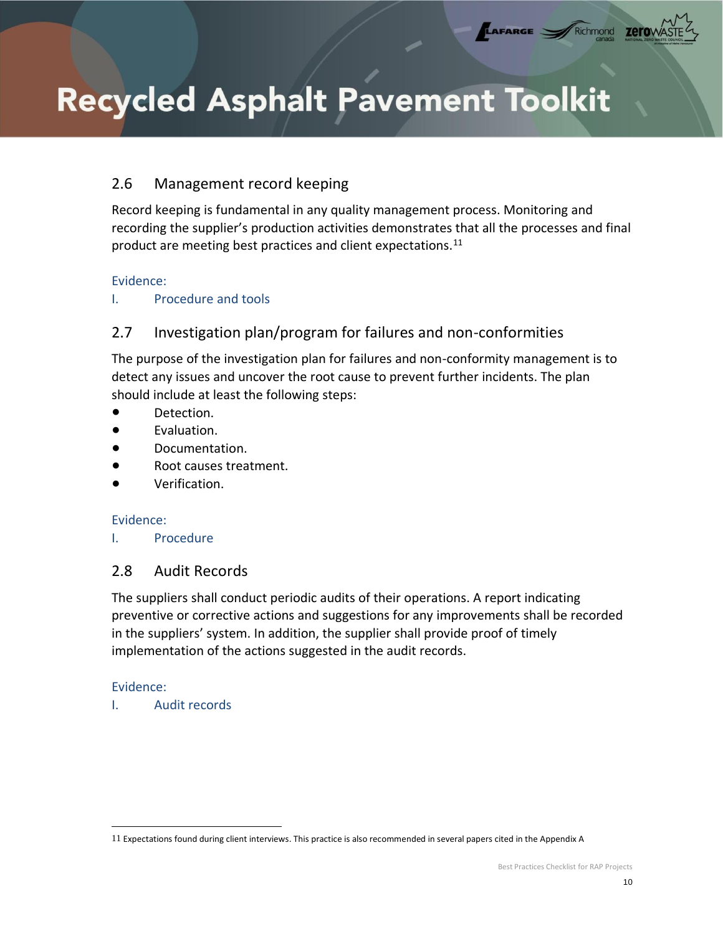## 2.6 Management record keeping

Record keeping is fundamental in any quality management process. Monitoring and recording the supplier's production activities demonstrates that all the processes and final product are meeting best practices and client expectations.<sup>11</sup>

LAFARGE

Richmond

zerov

#### Evidence:

<span id="page-10-0"></span>I. Procedure and tools

## 2.7 Investigation plan/program for failures and non-conformities

The purpose of the investigation plan for failures and non-conformity management is to detect any issues and uncover the root cause to prevent further incidents. The plan should include at least the following steps:

- Detection.
- Evaluation.
- Documentation.
- Root causes treatment.
- Verification

### Evidence:

<span id="page-10-1"></span>I. Procedure

## 2.8 Audit Records

The suppliers shall conduct periodic audits of their operations. A report indicating preventive or corrective actions and suggestions for any improvements shall be recorded in the suppliers' system. In addition, the supplier shall provide proof of timely implementation of the actions suggested in the audit records.

### Evidence:

<span id="page-10-2"></span>I. Audit records

<sup>11</sup> Expectations found during client interviews. This practice is also recommended in several papers cited in the Appendix A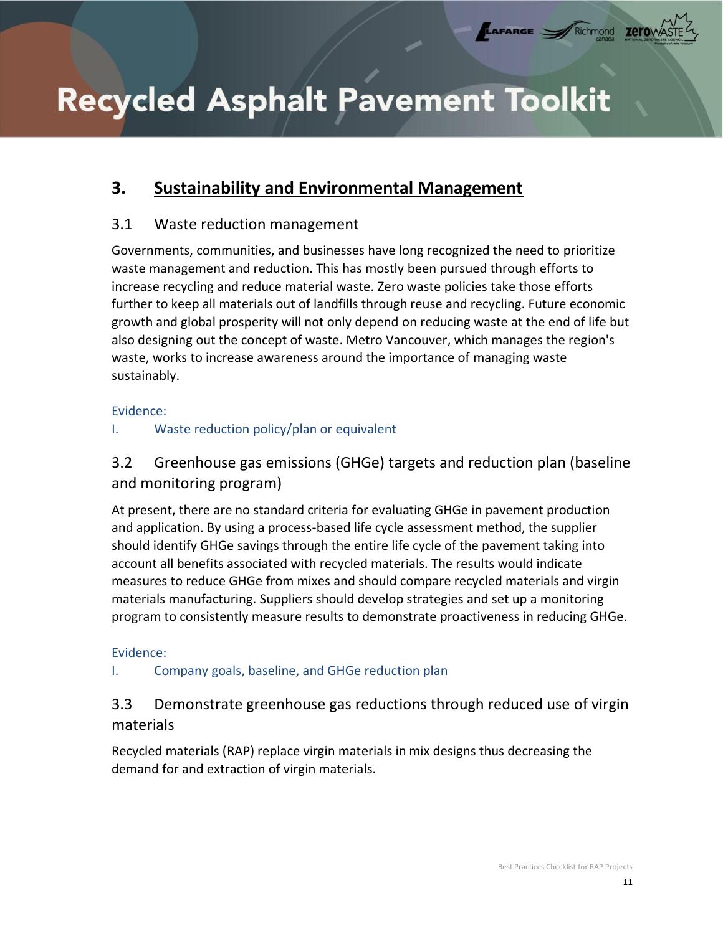LAFARGE

Richmond

## **3. Sustainability and Environmental Management**

## <span id="page-11-0"></span>3.1 Waste reduction management

Governments, communities, and businesses have long recognized the need to prioritize waste management and reduction. This has mostly been pursued through efforts to increase recycling and reduce material waste. Zero waste policies take those efforts further to keep all materials out of landfills through reuse and recycling. Future economic growth and global prosperity will not only depend on reducing waste at the end of life but also designing out the concept of waste. Metro Vancouver, which manages the region's waste, works to increase awareness around the importance of managing waste sustainably.

### Evidence:

## <span id="page-11-1"></span>I. Waste reduction policy/plan or equivalent

3.2 Greenhouse gas emissions (GHGe) targets and reduction plan (baseline and monitoring program)

At present, there are no standard criteria for evaluating GHGe in pavement production and application. By using a process-based life cycle assessment method, the supplier should identify GHGe savings through the entire life cycle of the pavement taking into account all benefits associated with recycled materials. The results would indicate measures to reduce GHGe from mixes and should compare recycled materials and virgin materials manufacturing. Suppliers should develop strategies and set up a monitoring program to consistently measure results to demonstrate proactiveness in reducing GHGe.

### Evidence:

## <span id="page-11-2"></span>I. Company goals, baseline, and GHGe reduction plan

## 3.3 Demonstrate greenhouse gas reductions through reduced use of virgin materials

Recycled materials (RAP) replace virgin materials in mix designs thus decreasing the demand for and extraction of virgin materials.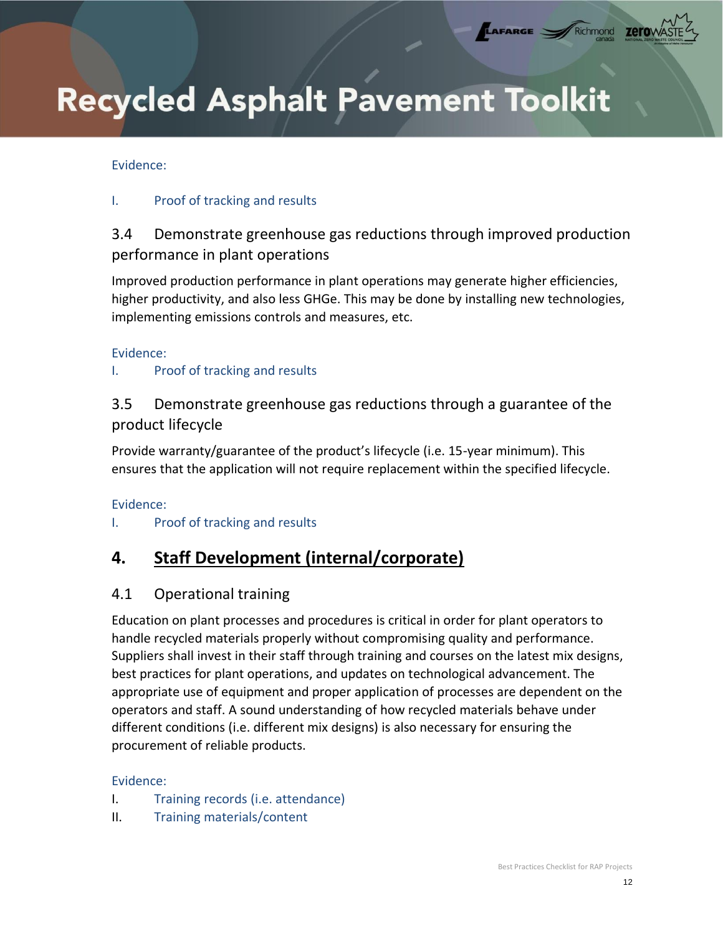#### <span id="page-12-0"></span>Evidence:

#### I. Proof of tracking and results

## 3.4 Demonstrate greenhouse gas reductions through improved production performance in plant operations

LAFARGE

Richmond

zerov

Improved production performance in plant operations may generate higher efficiencies, higher productivity, and also less GHGe. This may be done by installing new technologies, implementing emissions controls and measures, etc.

#### Evidence:

#### I. Proof of tracking and results

## 3.5 Demonstrate greenhouse gas reductions through a guarantee of the product lifecycle

Provide warranty/guarantee of the product's lifecycle (i.e. 15-year minimum). This ensures that the application will not require replacement within the specified lifecycle.

#### Evidence:

### <span id="page-12-2"></span><span id="page-12-1"></span>I. Proof of tracking and results

## **4. Staff Development (internal/corporate)**

### 4.1 Operational training

Education on plant processes and procedures is critical in order for plant operators to handle recycled materials properly without compromising quality and performance. Suppliers shall invest in their staff through training and courses on the latest mix designs, best practices for plant operations, and updates on technological advancement. The appropriate use of equipment and proper application of processes are dependent on the operators and staff. A sound understanding of how recycled materials behave under different conditions (i.e. different mix designs) is also necessary for ensuring the procurement of reliable products.

#### Evidence:

- I. Training records (i.e. attendance)
- <span id="page-12-3"></span>II. Training materials/content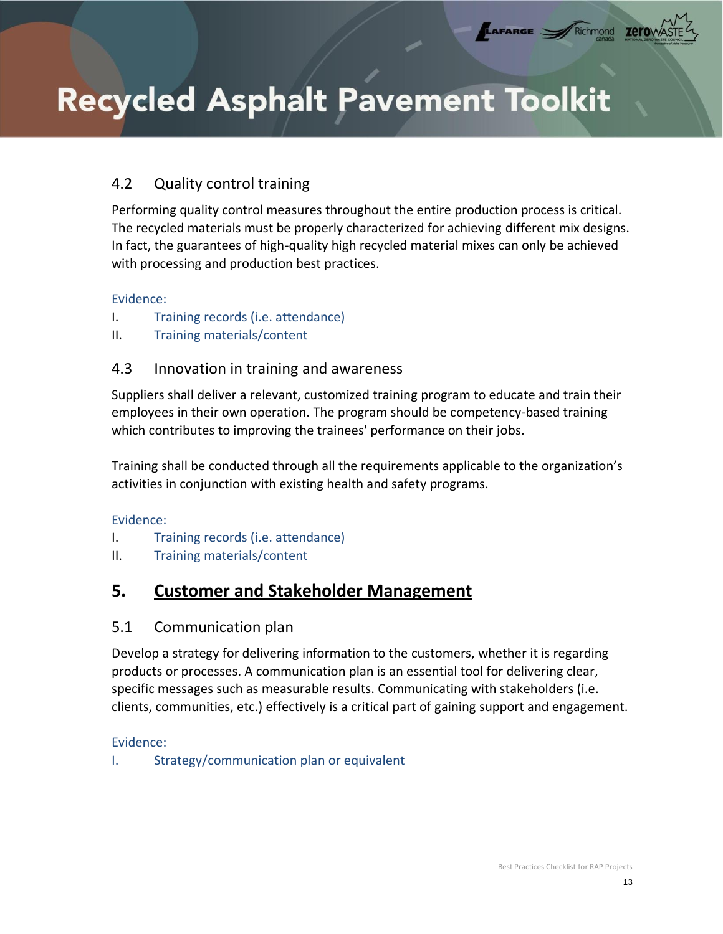## 4.2 Quality control training

Performing quality control measures throughout the entire production process is critical. The recycled materials must be properly characterized for achieving different mix designs. In fact, the guarantees of high-quality high recycled material mixes can only be achieved with processing and production best practices.

LAFARGE

Richmond

#### Evidence:

- I. Training records (i.e. attendance)
- II. Training materials/content

### 4.3 Innovation in training and awareness

Suppliers shall deliver a relevant, customized training program to educate and train their employees in their own operation. The program should be competency-based training which contributes to improving the trainees' performance on their jobs.

Training shall be conducted through all the requirements applicable to the organization's activities in conjunction with existing health and safety programs.

#### Evidence:

- I. Training records (i.e. attendance)
- <span id="page-13-0"></span>II. Training materials/content

## **5. Customer and Stakeholder Management**

### <span id="page-13-1"></span>5.1 Communication plan

Develop a strategy for delivering information to the customers, whether it is regarding products or processes. A communication plan is an essential tool for delivering clear, specific messages such as measurable results. Communicating with stakeholders (i.e. clients, communities, etc.) effectively is a critical part of gaining support and engagement.

### Evidence:

<span id="page-13-2"></span>I. Strategy/communication plan or equivalent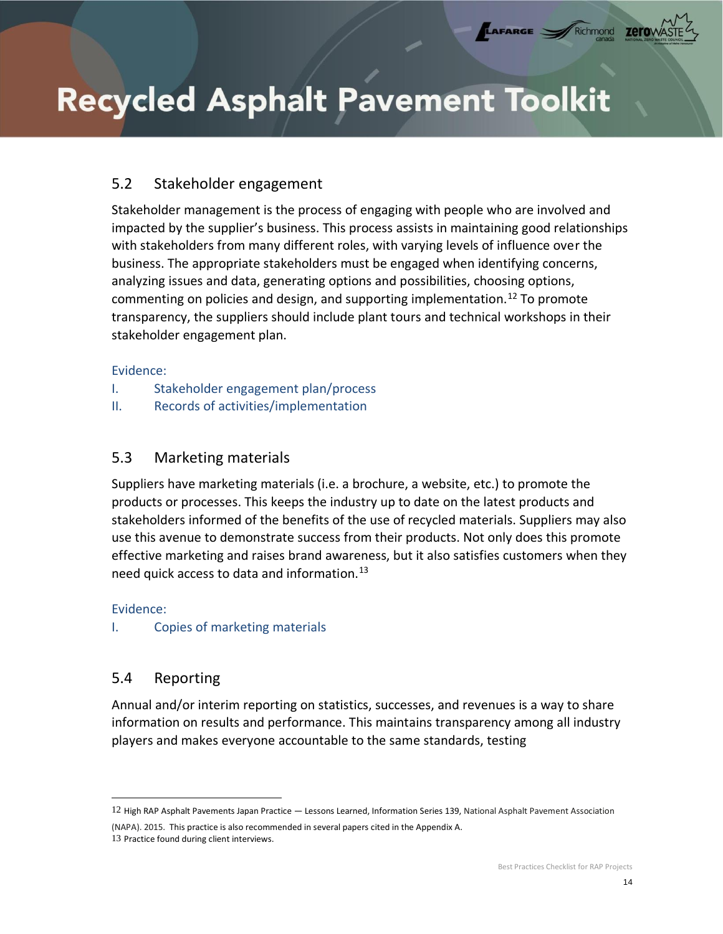## 5.2 Stakeholder engagement

Stakeholder management is the process of engaging with people who are involved and impacted by the supplier's business. This process assists in maintaining good relationships with stakeholders from many different roles, with varying levels of influence over the business. The appropriate stakeholders must be engaged when identifying concerns, analyzing issues and data, generating options and possibilities, choosing options, commenting on policies and design, and supporting implementation.<sup>12</sup> To promote transparency, the suppliers should include plant tours and technical workshops in their stakeholder engagement plan.

LAFARGE

#### Evidence:

- I. Stakeholder engagement plan/process
- <span id="page-14-0"></span>II. Records of activities/implementation

### 5.3 Marketing materials

Suppliers have marketing materials (i.e. a brochure, a website, etc.) to promote the products or processes. This keeps the industry up to date on the latest products and stakeholders informed of the benefits of the use of recycled materials. Suppliers may also use this avenue to demonstrate success from their products. Not only does this promote effective marketing and raises brand awareness, but it also satisfies customers when they need quick access to data and information.<sup>13</sup>

#### Evidence:

<span id="page-14-1"></span>I. Copies of marketing materials

### 5.4 Reporting

Annual and/or interim reporting on statistics, successes, and revenues is a way to share information on results and performance. This maintains transparency among all industry players and makes everyone accountable to the same standards, testing

<sup>12</sup> High RAP Asphalt Pavements Japan Practice — Lessons Learned, Information Series 139, National Asphalt Pavement Association

<sup>(</sup>NAPA). 2015. This practice is also recommended in several papers cited in the Appendix A. 13 Practice found during client interviews.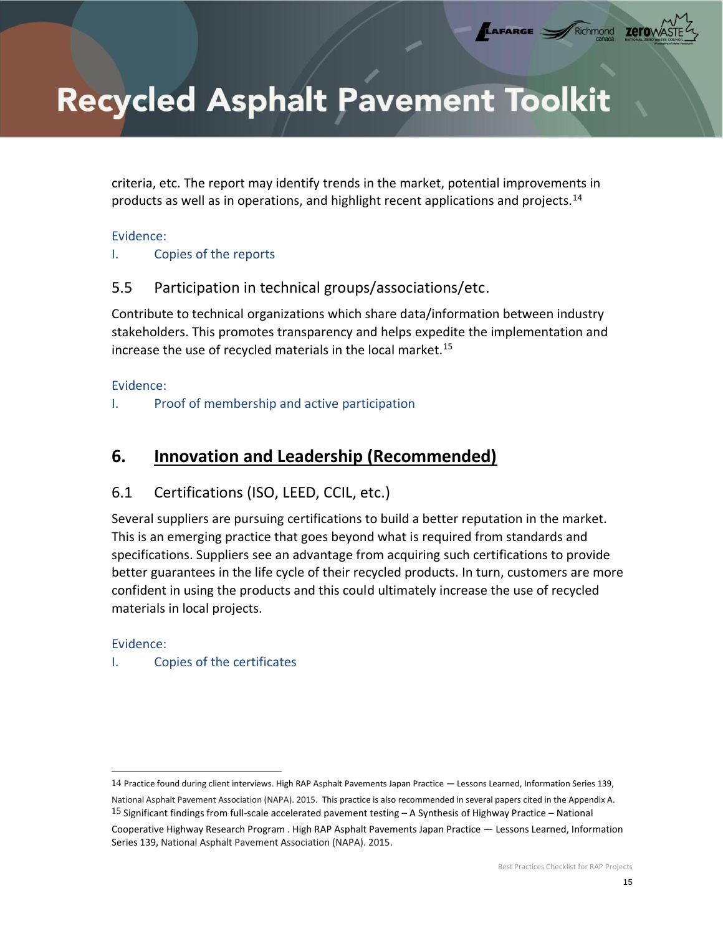criteria, etc. The report may identify trends in the market, potential improvements in products as well as in operations, and highlight recent applications and projects.<sup>14</sup>

LAFARGE

zerov

#### Evidence:

### I. Copies of the reports

## 5.5 Participation in technical groups/associations/etc.

Contribute to technical organizations which share data/information between industry stakeholders. This promotes transparency and helps expedite the implementation and increase the use of recycled materials in the local market.<sup>15</sup>

#### Evidence:

<span id="page-15-0"></span>I. Proof of membership and active participation

## <span id="page-15-1"></span>**6. Innovation and Leadership (Recommended)**

## 6.1 Certifications (ISO, LEED, CCIL, etc.)

Several suppliers are pursuing certifications to build a better reputation in the market. This is an emerging practice that goes beyond what is required from standards and specifications. Suppliers see an advantage from acquiring such certifications to provide better guarantees in the life cycle of their recycled products. In turn, customers are more confident in using the products and this could ultimately increase the use of recycled materials in local projects.

### Evidence:

### <span id="page-15-2"></span>I. Copies of the certificates

<sup>14</sup> Practice found during client interviews. High RAP Asphalt Pavements Japan Practice — Lessons Learned, Information Series 139, National Asphalt Pavement Association (NAPA). 2015. This practice is also recommended in several papers cited in the Appendix A. 15 Significant findings from full-scale accelerated pavement testing – A Synthesis of Highway Practice – National Cooperative Highway Research Program . High RAP Asphalt Pavements Japan Practice — Lessons Learned, Information Series 139, National Asphalt Pavement Association (NAPA). 2015.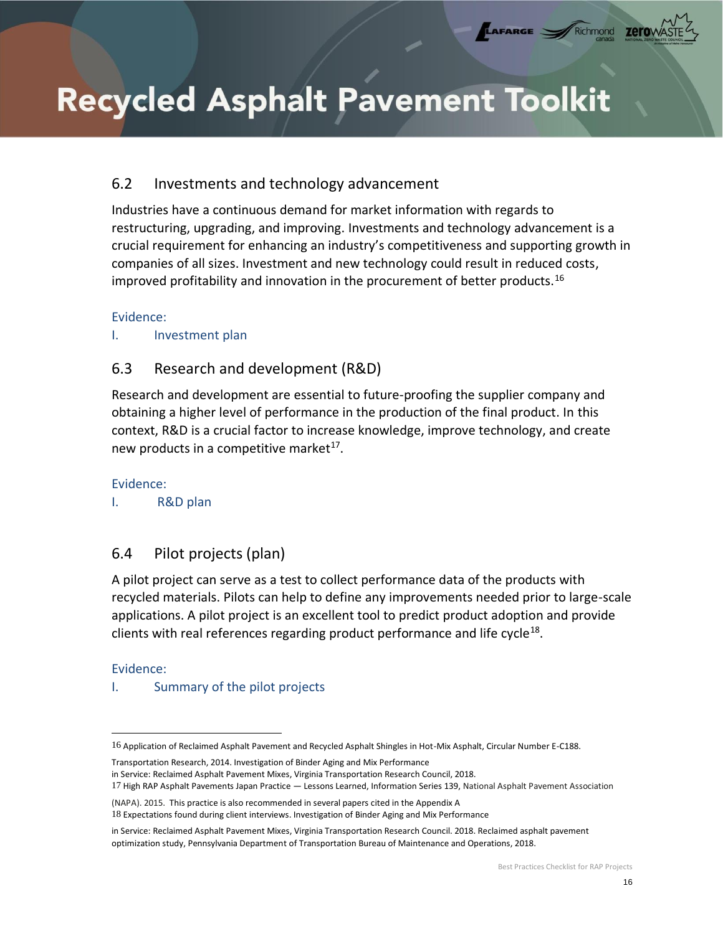## 6.2 Investments and technology advancement

Industries have a continuous demand for market information with regards to restructuring, upgrading, and improving. Investments and technology advancement is a crucial requirement for enhancing an industry's competitiveness and supporting growth in companies of all sizes. Investment and new technology could result in reduced costs, improved profitability and innovation in the procurement of better products.<sup>16</sup>

LAFARGE

#### Evidence:

#### <span id="page-16-0"></span>I. Investment plan

## 6.3 Research and development (R&D)

Research and development are essential to future-proofing the supplier company and obtaining a higher level of performance in the production of the final product. In this context, R&D is a crucial factor to increase knowledge, improve technology, and create new products in a competitive market<sup>17</sup>.

Evidence:

<span id="page-16-1"></span>I. R&D plan

## 6.4 Pilot projects (plan)

A pilot project can serve as a test to collect performance data of the products with recycled materials. Pilots can help to define any improvements needed prior to large-scale applications. A pilot project is an excellent tool to predict product adoption and provide clients with real references regarding product performance and life cycle<sup>18</sup>.

#### Evidence:

### <span id="page-16-2"></span>I. Summary of the pilot projects

Transportation Research, 2014. Investigation of Binder Aging and Mix Performance

<sup>16</sup> Application of Reclaimed Asphalt Pavement and Recycled Asphalt Shingles in Hot-Mix Asphalt, Circular Number E-C188.

in Service: Reclaimed Asphalt Pavement Mixes, Virginia Transportation Research Council, 2018.

<sup>17</sup> High RAP Asphalt Pavements Japan Practice — Lessons Learned, Information Series 139, National Asphalt Pavement Association

<sup>(</sup>NAPA). 2015. This practice is also recommended in several papers cited in the Appendix A 18 Expectations found during client interviews. Investigation of Binder Aging and Mix Performance

in Service: Reclaimed Asphalt Pavement Mixes, Virginia Transportation Research Council. 2018. Reclaimed asphalt pavement optimization study, Pennsylvania Department of Transportation Bureau of Maintenance and Operations, 2018.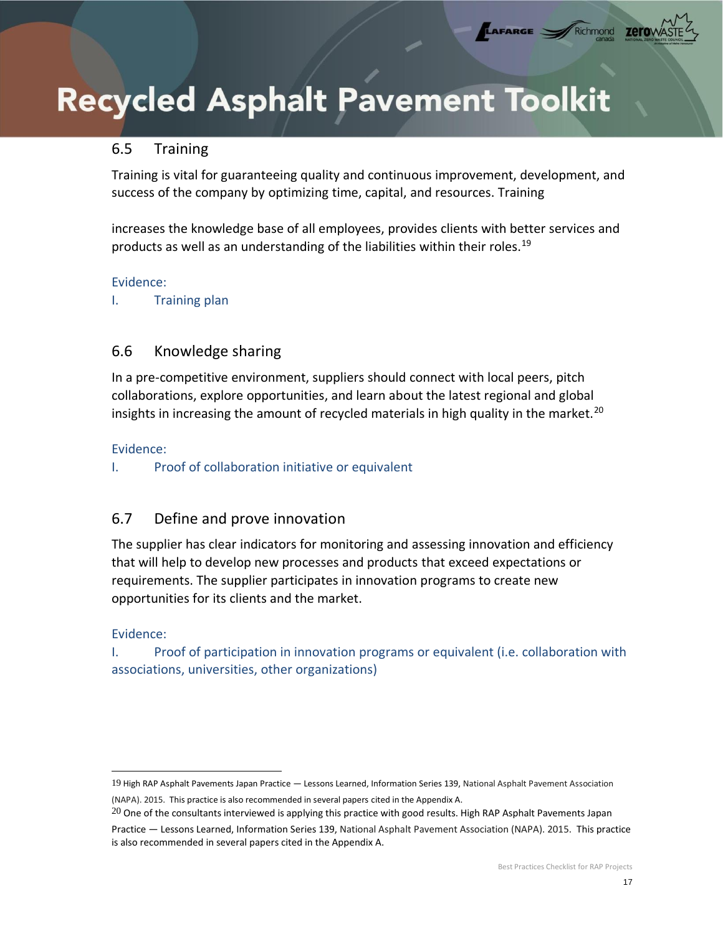### 6.5 Training

Training is vital for guaranteeing quality and continuous improvement, development, and success of the company by optimizing time, capital, and resources. Training

LAFARGE

increases the knowledge base of all employees, provides clients with better services and products as well as an understanding of the liabilities within their roles.<sup>19</sup>

#### Evidence:

<span id="page-17-0"></span>I. Training plan

## 6.6 Knowledge sharing

In a pre-competitive environment, suppliers should connect with local peers, pitch collaborations, explore opportunities, and learn about the latest regional and global insights in increasing the amount of recycled materials in high quality in the market.<sup>20</sup>

#### Evidence:

<span id="page-17-1"></span>I. Proof of collaboration initiative or equivalent

## 6.7 Define and prove innovation

The supplier has clear indicators for monitoring and assessing innovation and efficiency that will help to develop new processes and products that exceed expectations or requirements. The supplier participates in innovation programs to create new opportunities for its clients and the market.

### Evidence:

<span id="page-17-2"></span>I. Proof of participation in innovation programs or equivalent (i.e. collaboration with associations, universities, other organizations)

<sup>19</sup> High RAP Asphalt Pavements Japan Practice — Lessons Learned, Information Series 139, National Asphalt Pavement Association (NAPA). 2015. This practice is also recommended in several papers cited in the Appendix A.

 $20$  One of the consultants interviewed is applying this practice with good results. High RAP Asphalt Pavements Japan Practice — Lessons Learned, Information Series 139, National Asphalt Pavement Association (NAPA). 2015. This practice is also recommended in several papers cited in the Appendix A.